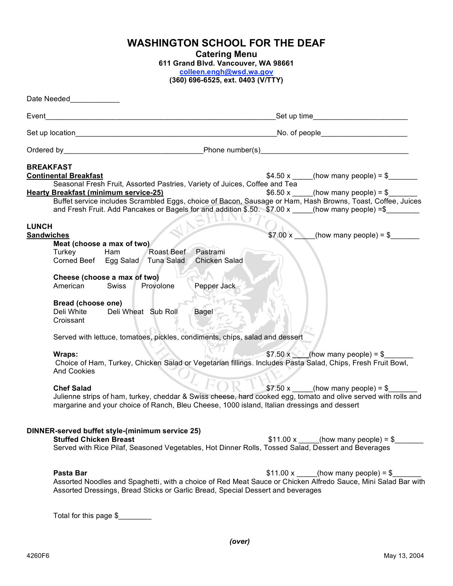| <b>WASHINGTON SCHOOL FOR THE DEAF</b> |  |  |  |
|---------------------------------------|--|--|--|
|---------------------------------------|--|--|--|

**Catering Menu**

**611 Grand Blvd. Vancouver, WA 98661**

**colleen.engh@wsd.wa.gov**

**(360) 696-6525, ext. 0403 (V/TTY)**

| Date Needed New York 1999                                        |                                                                                                                                                                                                                                                                                                                                                                                                                                                   |
|------------------------------------------------------------------|---------------------------------------------------------------------------------------------------------------------------------------------------------------------------------------------------------------------------------------------------------------------------------------------------------------------------------------------------------------------------------------------------------------------------------------------------|
| Event                                                            | <u> 1989 - Johann Stoff, Amerikaansk politiker (* 1908)</u>                                                                                                                                                                                                                                                                                                                                                                                       |
|                                                                  |                                                                                                                                                                                                                                                                                                                                                                                                                                                   |
|                                                                  | Ordered by Phone number(s) Phone number(s)                                                                                                                                                                                                                                                                                                                                                                                                        |
| <b>BREAKFAST</b><br><b>Continental Breakfast</b><br><b>LUNCH</b> | \$4.50 x ____(how many people) = $\frac{1}{2}$<br>Seasonal Fresh Fruit, Assorted Pastries, Variety of Juices, Coffee and Tea<br><b>Hearty Breakfast (minimum service-25)</b><br>\$6.50 x _____(how many people) = $$$<br>Buffet service includes Scrambled Eggs, choice of Bacon, Sausage or Ham, Hash Browns, Toast, Coffee, Juices<br>and Fresh Fruit. Add Pancakes or Bagels for and addition \$.50. \$7.00 x ____(how many people) =\$_______ |
| <b>Sandwiches</b><br>Turkey<br>American<br>Croissant             | \$7.00 x<br>(how many people) = $\frac{1}{2}$<br>Meat (choose a max of two)<br>Pastrami<br>Ham<br>Roast Beef<br>Tuna Salad Chicken Salad<br>Corned Beef Egg Salad<br>Cheese (choose a max of two)<br>Pepper Jack<br><b>Swiss</b><br>Provolone<br>Bread (choose one)<br>Deli Wheat Sub Roll<br>Deli White<br>Bagel<br>Served with lettuce, tomatoes, pickles, condiments, chips, salad and dessert                                                 |
| Wraps:<br><b>And Cookies</b><br><b>Chef Salad</b>                | \$7.50 x $\Diamond$ (how many people) = \$<br>Choice of Ham, Turkey, Chicken Salad or Vegetarian fillings. Includes Pasta Salad, Chips, Fresh Fruit Bowl,<br>\$7.50 x _____(how many people) = \$<br>Julienne strips of ham, turkey, cheddar & Swiss cheese, hard cooked egg, tomato and olive served with rolls and<br>margarine and your choice of Ranch, Bleu Cheese, 1000 island, Italian dressings and dessert                               |
| Pasta Bar                                                        | DINNER-served buffet style-(minimum service 25)<br><b>Stuffed Chicken Breast</b><br>$$11.00 x$ (how many people) = \$<br>Served with Rice Pilaf, Seasoned Vegetables, Hot Dinner Rolls, Tossed Salad, Dessert and Beverages<br>\$11.00 x ____(how many people) = $\frac{1}{2}$                                                                                                                                                                    |
|                                                                  | Assorted Noodles and Spaghetti, with a choice of Red Meat Sauce or Chicken Alfredo Sauce, Mini Salad Bar with<br>Assorted Dressings, Bread Sticks or Garlic Bread, Special Dessert and beverages<br>Total for this page \$                                                                                                                                                                                                                        |